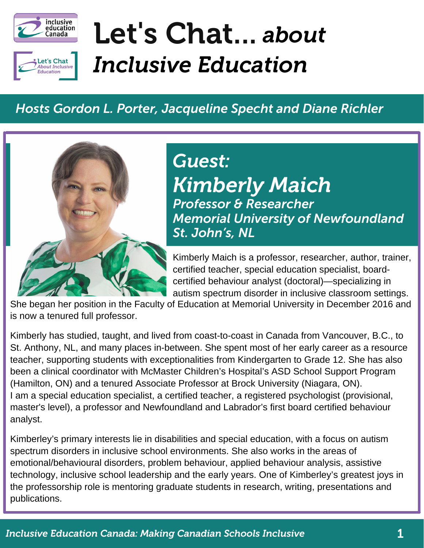



# Let's Chat... *about Inclusive Education*

#### *Hosts Gordon L. Porter, Jacqueline Specht and Diane Richler*



## *Kimberly Maich Professor & Researcher Memorial University of Newfoundland St. John's, NL Guest:*

Kimberly Maich is a professor, researcher, author, trainer, certified teacher, special education specialist, boardcertified behaviour analyst (doctoral)—specializing in autism spectrum disorder in inclusive classroom settings.

She began her position in the Faculty of Education at Memorial University in December 2016 and is now a tenured full professor.

Kimberly has studied, taught, and lived from coast-to-coast in Canada from Vancouver, B.C., to St. Anthony, NL, and many places in-between. She spent most of her early career as a resource teacher, supporting students with exceptionalities from Kindergarten to Grade 12. She has also been a clinical coordinator with McMaster Children's Hospital's ASD School Support Program (Hamilton, ON) and a tenured Associate Professor at Brock University (Niagara, ON). I am a special education specialist, a certified teacher, a registered psychologist (provisional, master's level), a professor and Newfoundland and Labrador's first board certified behaviour analyst.

Kimberley's primary interests lie in disabilities and special education, with a focus on autism spectrum disorders in inclusive school environments. She also works in the areas of emotional/behavioural disorders, problem behaviour, applied behaviour analysis, assistive technology, inclusive school leadership and the early years. One of Kimberley's greatest joys in the professorship role is mentoring graduate students in research, writing, presentations and publications.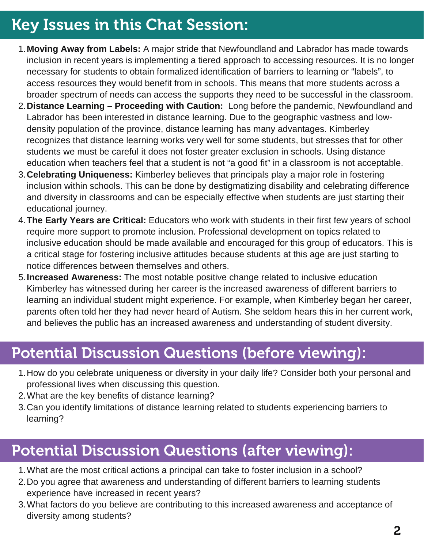## Key Issues in this Chat Session:

- **Moving Away from Labels:** A major stride that Newfoundland and Labrador has made towards 1. inclusion in recent years is implementing a tiered approach to accessing resources. It is no longer necessary for students to obtain formalized identification of barriers to learning or "labels", to access resources they would benefit from in schools. This means that more students across a broader spectrum of needs can access the supports they need to be successful in the classroom.
- **Distance Learning – Proceeding with Caution:** Long before the pandemic, Newfoundland and 2. Labrador has been interested in distance learning. Due to the geographic vastness and lowdensity population of the province, distance learning has many advantages. Kimberley recognizes that distance learning works very well for some students, but stresses that for other students we must be careful it does not foster greater exclusion in schools. Using distance education when teachers feel that a student is not "a good fit" in a classroom is not acceptable.
- **Celebrating Uniqueness:** Kimberley believes that principals play a major role in fostering 3. inclusion within schools. This can be done by destigmatizing disability and celebrating difference and diversity in classrooms and can be especially effective when students are just starting their educational journey.
- **The Early Years are Critical:** Educators who work with students in their first few years of school 4. require more support to promote inclusion. Professional development on topics related to inclusive education should be made available and encouraged for this group of educators. This is a critical stage for fostering inclusive attitudes because students at this age are just starting to notice differences between themselves and others.
- **Increased Awareness:** The most notable positive change related to inclusive education 5. Kimberley has witnessed during her career is the increased awareness of different barriers to learning an individual student might experience. For example, when Kimberley began her career, parents often told her they had never heard of Autism. She seldom hears this in her current work, and believes the public has an increased awareness and understanding of student diversity.

#### Potential Discussion Questions (before viewing):

- 1. How do you celebrate uniqueness or diversity in your daily life? Consider both your personal and professional lives when discussing this question.
- What are the key benefits of distance learning? 2.
- 3. Can you identify limitations of distance learning related to students experiencing barriers to learning?

### Potential Discussion Questions (after viewing):

- What are the most critical actions a principal can take to foster inclusion in a school? 1.
- 2. Do you agree that awareness and understanding of different barriers to learning students experience have increased in recent years?
- What factors do you believe are contributing to this increased awareness and acceptance of 3.diversity among students?